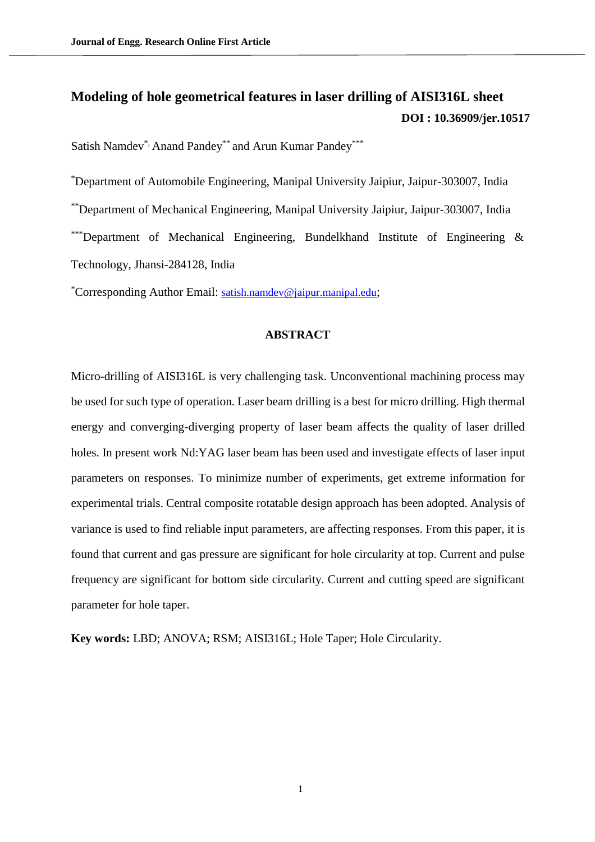# **Modeling of hole geometrical features in laser drilling of AISI316L sheet [DOI : 10.36909/jer.10517](https://doi.org/10.36909/jer.10517)**

Satish Namdev\*, Anand Pandey\*\* and Arun Kumar Pandey\*\*\*

\*Department of Automobile Engineering, Manipal University Jaipiur, Jaipur-303007, India \*\*Department of Mechanical Engineering, Manipal University Jaipiur, Jaipur-303007, India \*\*\*Department of Mechanical Engineering, Bundelkhand Institute of Engineering  $\&$ Technology, Jhansi-284128, India

\*Corresponding Author Email: [satish.namdev@jaipur.manipal.edu](mailto:satish.namdev@jaipur.manipal.edu);

### **ABSTRACT**

Micro-drilling of AISI316L is very challenging task. Unconventional machining process may be used for such type of operation. Laser beam drilling is a best for micro drilling. High thermal energy and converging-diverging property of laser beam affects the quality of laser drilled holes. In present work Nd:YAG laser beam has been used and investigate effects of laser input parameters on responses. To minimize number of experiments, get extreme information for experimental trials. Central composite rotatable design approach has been adopted. Analysis of variance is used to find reliable input parameters, are affecting responses. From this paper, it is found that current and gas pressure are significant for hole circularity at top. Current and pulse frequency are significant for bottom side circularity. Current and cutting speed are significant parameter for hole taper.

**Key words:** LBD; ANOVA; RSM; AISI316L; Hole Taper; Hole Circularity.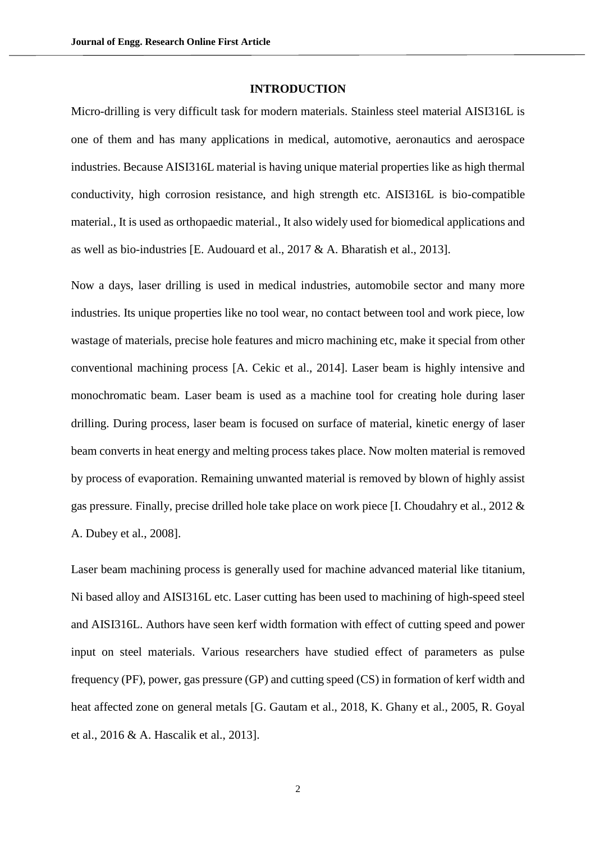#### **INTRODUCTION**

Micro-drilling is very difficult task for modern materials. Stainless steel material AISI316L is one of them and has many applications in medical, automotive, aeronautics and aerospace industries. Because AISI316L material is having unique material properties like as high thermal conductivity, high corrosion resistance, and high strength etc. AISI316L is bio-compatible material., It is used as orthopaedic material., It also widely used for biomedical applications and as well as bio-industries [E. Audouard et al., 2017 & A. Bharatish et al., 2013].

Now a days, laser drilling is used in medical industries, automobile sector and many more industries. Its unique properties like no tool wear, no contact between tool and work piece, low wastage of materials, precise hole features and micro machining etc, make it special from other conventional machining process [A. Cekic et al., 2014]. Laser beam is highly intensive and monochromatic beam. Laser beam is used as a machine tool for creating hole during laser drilling. During process, laser beam is focused on surface of material, kinetic energy of laser beam converts in heat energy and melting process takes place. Now molten material is removed by process of evaporation. Remaining unwanted material is removed by blown of highly assist gas pressure. Finally, precise drilled hole take place on work piece [I. Choudahry et al., 2012 & A. Dubey et al., 2008].

Laser beam machining process is generally used for machine advanced material like titanium, Ni based alloy and AISI316L etc. Laser cutting has been used to machining of high-speed steel and AISI316L. Authors have seen kerf width formation with effect of cutting speed and power input on steel materials. Various researchers have studied effect of parameters as pulse frequency (PF), power, gas pressure (GP) and cutting speed (CS) in formation of kerf width and heat affected zone on general metals [G. Gautam et al., 2018, K. Ghany et al., 2005, R. Goyal et al., 2016 & A. Hascalik et al., 2013].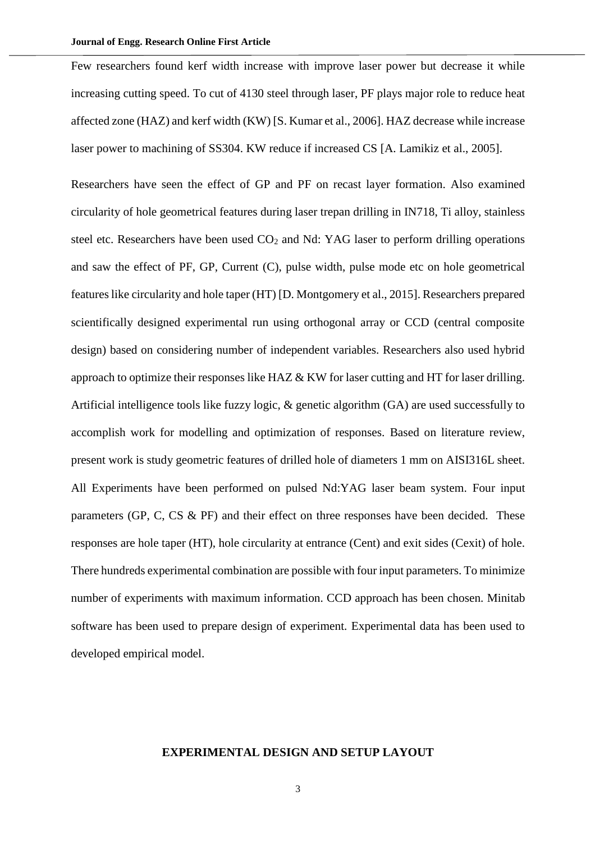Few researchers found kerf width increase with improve laser power but decrease it while increasing cutting speed. To cut of 4130 steel through laser, PF plays major role to reduce heat affected zone (HAZ) and kerf width (KW) [S. Kumar et al., 2006]. HAZ decrease while increase laser power to machining of SS304. KW reduce if increased CS [A. Lamikiz et al., 2005].

Researchers have seen the effect of GP and PF on recast layer formation. Also examined circularity of hole geometrical features during laser trepan drilling in IN718, Ti alloy, stainless steel etc. Researchers have been used  $CO<sub>2</sub>$  and Nd: YAG laser to perform drilling operations and saw the effect of PF, GP, Current (C), pulse width, pulse mode etc on hole geometrical features like circularity and hole taper (HT) [D. Montgomery et al., 2015]. Researchers prepared scientifically designed experimental run using orthogonal array or CCD (central composite design) based on considering number of independent variables. Researchers also used hybrid approach to optimize their responses like HAZ & KW for laser cutting and HT for laser drilling. Artificial intelligence tools like fuzzy logic, & genetic algorithm (GA) are used successfully to accomplish work for modelling and optimization of responses. Based on literature review, present work is study geometric features of drilled hole of diameters 1 mm on AISI316L sheet. All Experiments have been performed on pulsed Nd:YAG laser beam system. Four input parameters (GP, C, CS & PF) and their effect on three responses have been decided. These responses are hole taper (HT), hole circularity at entrance (Cent) and exit sides (Cexit) of hole. There hundreds experimental combination are possible with four input parameters. To minimize number of experiments with maximum information. CCD approach has been chosen. Minitab software has been used to prepare design of experiment. Experimental data has been used to developed empirical model.

#### **EXPERIMENTAL DESIGN AND SETUP LAYOUT**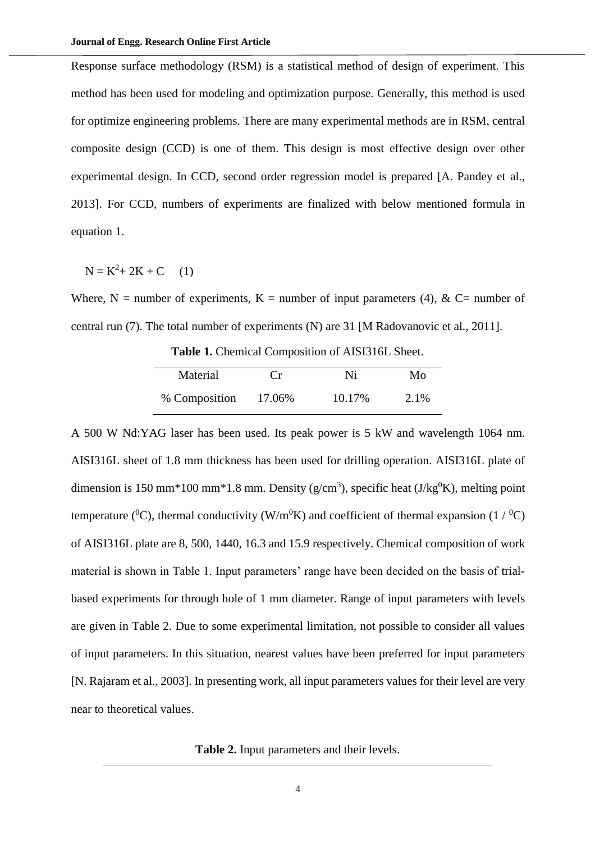Response surface methodology (RSM) is a statistical method of design of experiment. This method has been used for modeling and optimization purpose. Generally, this method is used for optimize engineering problems. There are many experimental methods are in RSM, central composite design (CCD) is one of them. This design is most effective design over other experimental design. In CCD, second order regression model is prepared [A. Pandey et al., 2013]. For CCD, numbers of experiments are finalized with below mentioned formula in equation 1.

$$
N = K^2 + 2K + C \qquad (1)
$$

Where, N = number of experiments, K = number of input parameters (4), & C= number of central run (7). The total number of experiments (N) are 31 [M Radovanovic et al., 2011].

**Table 1.** Chemical Composition of AISI316L Sheet.

| Material      | $C_{\rm r}$ | Ni     | Mo   |
|---------------|-------------|--------|------|
| % Composition | 17.06%      | 10.17% | 2.1% |

A 500 W Nd:YAG laser has been used. Its peak power is 5 kW and wavelength 1064 nm. AISI316L sheet of 1.8 mm thickness has been used for drilling operation. AISI316L plate of dimension is 150 mm<sup>\*</sup>100 mm<sup>\*</sup>1.8 mm. Density ( $g/cm<sup>3</sup>$ ), specific heat ( $J/kg<sup>0</sup>K$ ), melting point temperature (<sup>0</sup>C), thermal conductivity (W/m<sup>0</sup>K) and coefficient of thermal expansion (1/<sup>0</sup>C) of AISI316L plate are 8, 500, 1440, 16.3 and 15.9 respectively. Chemical composition of work material is shown in Table 1. Input parameters' range have been decided on the basis of trialbased experiments for through hole of 1 mm diameter. Range of input parameters with levels are given in Table 2. Due to some experimental limitation, not possible to consider all values of input parameters. In this situation, nearest values have been preferred for input parameters [N. Rajaram et al., 2003]. In presenting work, all input parameters values for their level are very near to theoretical values.

**Table 2.** Input parameters and their levels.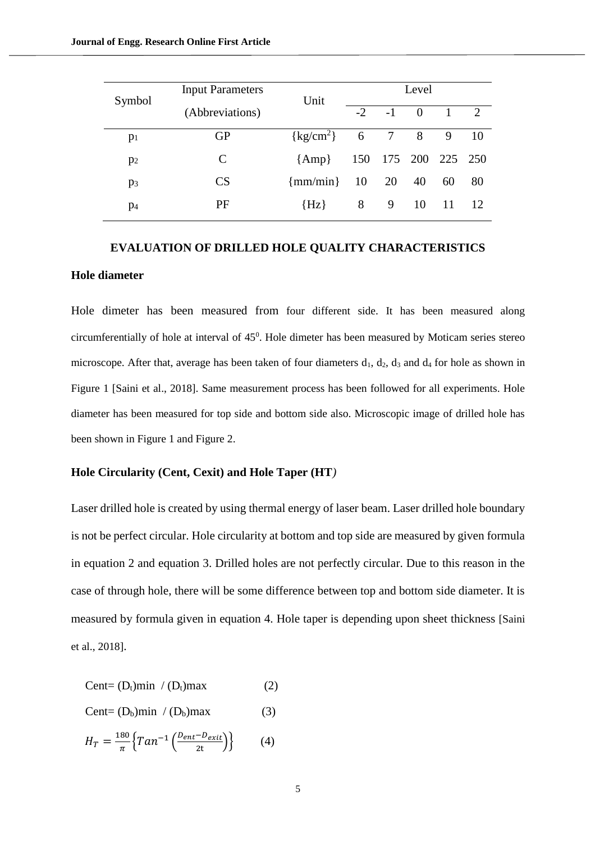| Symbol         | <b>Input Parameters</b> | Unit                | Level |                     |          |    |              |  |
|----------------|-------------------------|---------------------|-------|---------------------|----------|----|--------------|--|
|                | (Abbreviations)         |                     | $-2$  | $-1$                | $\Omega$ |    | <sup>2</sup> |  |
| p <sub>1</sub> | GP                      | $\{kg/cm^2\}$ 6 7 8 |       |                     |          | 9  | -10          |  |
| p <sub>2</sub> | C                       | ${Amp}$             |       | 150 175 200 225 250 |          |    |              |  |
| $p_3$          | CS                      | $\{mm/min\}$        | 10    | 20                  | 40       | 60 | 80           |  |
| $p_4$          | PF                      | $\{Hz\}$            | 8     | 9                   | 10       | 11 | -12          |  |

# **EVALUATION OF DRILLED HOLE QUALITY CHARACTERISTICS Hole diameter**

Hole dimeter has been measured from four different side. It has been measured along circumferentially of hole at interval of  $45^{\circ}$ . Hole dimeter has been measured by Moticam series stereo microscope. After that, average has been taken of four diameters  $d_1$ ,  $d_2$ ,  $d_3$  and  $d_4$  for hole as shown in Figure 1 [Saini et al., 2018]. Same measurement process has been followed for all experiments. Hole diameter has been measured for top side and bottom side also. Microscopic image of drilled hole has been shown in Figure 1 and Figure 2.

#### **Hole Circularity (Cent, Cexit) and Hole Taper (HT***)*

Laser drilled hole is created by using thermal energy of laser beam. Laser drilled hole boundary is not be perfect circular. Hole circularity at bottom and top side are measured by given formula in equation 2 and equation 3. Drilled holes are not perfectly circular. Due to this reason in the case of through hole, there will be some difference between top and bottom side diameter. It is measured by formula given in equation 4. Hole taper is depending upon sheet thickness [Saini et al., 2018].

$$
Cent = (D_t)min / (D_t)max \qquad (2)
$$

$$
Cent = (D_b)min / (D_b)max \qquad (3)
$$

$$
H_T = \frac{180}{\pi} \left\{ \tan^{-1} \left( \frac{D_{ent} - D_{exit}}{2t} \right) \right\} \tag{4}
$$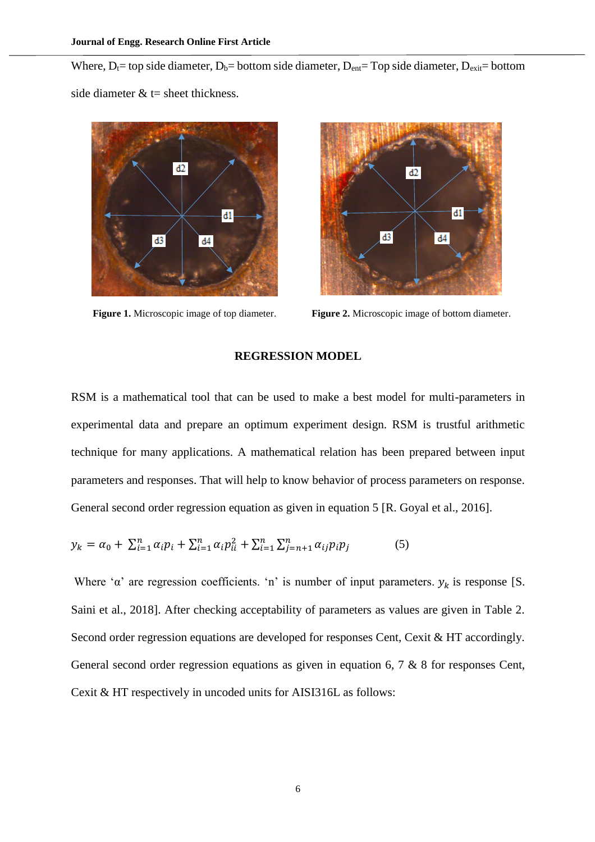Where,  $D_t$  = top side diameter,  $D_b$  = bottom side diameter,  $D_{ent}$  = Top side diameter,  $D_{exit}$  = bottom side diameter  $&t$  = sheet thickness.





**Figure 1.** Microscopic image of top diameter. **Figure 2.** Microscopic image of bottom diameter.

#### **REGRESSION MODEL**

RSM is a mathematical tool that can be used to make a best model for multi-parameters in experimental data and prepare an optimum experiment design. RSM is trustful arithmetic technique for many applications. A mathematical relation has been prepared between input parameters and responses. That will help to know behavior of process parameters on response. General second order regression equation as given in equation 5 [R. Goyal et al., 2016].

$$
y_k = \alpha_0 + \sum_{i=1}^n \alpha_i p_i + \sum_{i=1}^n \alpha_i p_{ii}^2 + \sum_{i=1}^n \sum_{j=n+1}^n \alpha_{ij} p_i p_j \tag{5}
$$

Where ' $\alpha$ ' are regression coefficients. 'n' is number of input parameters.  $y_k$  is response [S. Saini et al., 2018]. After checking acceptability of parameters as values are given in Table 2. Second order regression equations are developed for responses Cent, Cexit & HT accordingly. General second order regression equations as given in equation 6, 7 & 8 for responses Cent, Cexit & HT respectively in uncoded units for AISI316L as follows: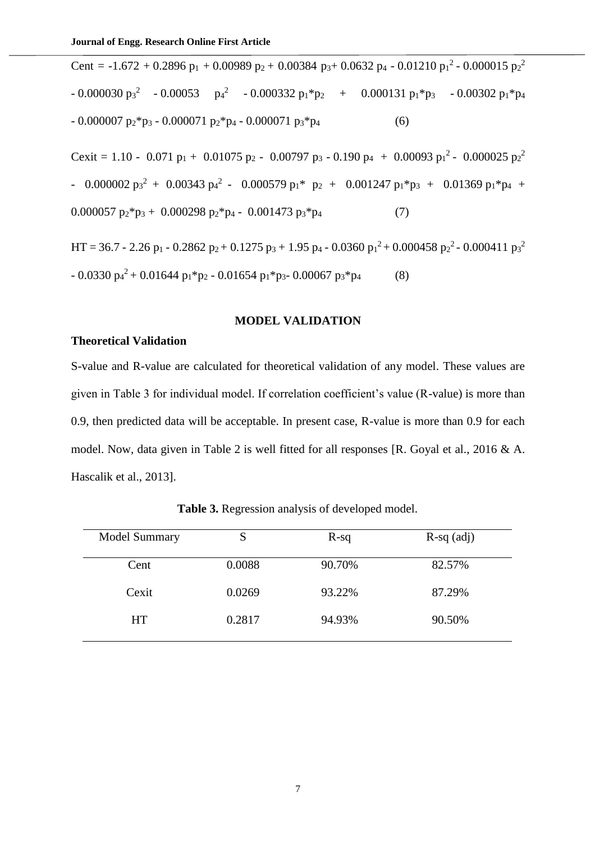Cent = -1.672 + 0.2896  $p_1$  + 0.00989  $p_2$  + 0.00384  $p_3$ + 0.0632  $p_4$  - 0.01210  $p_1$ <sup>2</sup> - 0.000015  $p_2$ <sup>2</sup> - 0.000030 p3<sup>2</sup> - 0.00053 p<sub>4</sub><sup>2</sup> - 0.000332 p<sub>1</sub>\*p<sub>2</sub> + 0.000131 p<sub>1</sub>\*p<sub>3</sub> - 0.00302 p<sub>1</sub>\*p<sub>4</sub>  $- 0.000007 \text{ p}_2^* \text{ p}_3 - 0.000071 \text{ p}_2^* \text{ p}_4 - 0.000071 \text{ p}_3^* \text{ p}_4$  (6) Cexit = 1.10 - 0.071  $p_1 + 0.01075 p_2 - 0.00797 p_3 - 0.190 p_4 + 0.00093 p_1^2 - 0.000025 p_2^2$ - 0.000002  $p_3^2$  + 0.00343  $p_4^2$  - 0.000579  $p_1^*$   $p_2$  + 0.001247  $p_1^*p_3$  + 0.01369  $p_1^*p_4$  + 0.000057  $p_2$ <sup>\*</sup> $p_3$  + 0.000298  $p_2$ <sup>\*</sup> $p_4$  - 0.001473  $p_3$ <sup>\*</sup> $p_4$  (7) HT = 36.7 - 2.26 p<sub>1</sub> - 0.2862 p<sub>2</sub> + 0.1275 p<sub>3</sub> + 1.95 p<sub>4</sub> - 0.0360 p<sub>1</sub><sup>2</sup> + 0.000458 p<sub>2</sub><sup>2</sup> - 0.000411 p<sub>3</sub><sup>2</sup>

$$
-0.0330 \text{ p}_4^2 + 0.01644 \text{ p}_1 \text{*p}_2 - 0.01654 \text{ p}_1 \text{*p}_3 - 0.00067 \text{ p}_3 \text{*p}_4 \tag{8}
$$

#### **MODEL VALIDATION**

### **Theoretical Validation**

S-value and R-value are calculated for theoretical validation of any model. These values are given in Table 3 for individual model. If correlation coefficient's value (R-value) is more than 0.9, then predicted data will be acceptable. In present case, R-value is more than 0.9 for each model. Now, data given in Table 2 is well fitted for all responses [R. Goyal et al., 2016 & A. Hascalik et al., 2013].

| Model Summary | S      | $R-sq$ | $R-sq$ (adj) |
|---------------|--------|--------|--------------|
| Cent          | 0.0088 | 90.70% | 82.57%       |
| Cexit         | 0.0269 | 93.22% | 87.29%       |
| <b>HT</b>     | 0.2817 | 94.93% | 90.50%       |
|               |        |        |              |

**Table 3.** Regression analysis of developed model.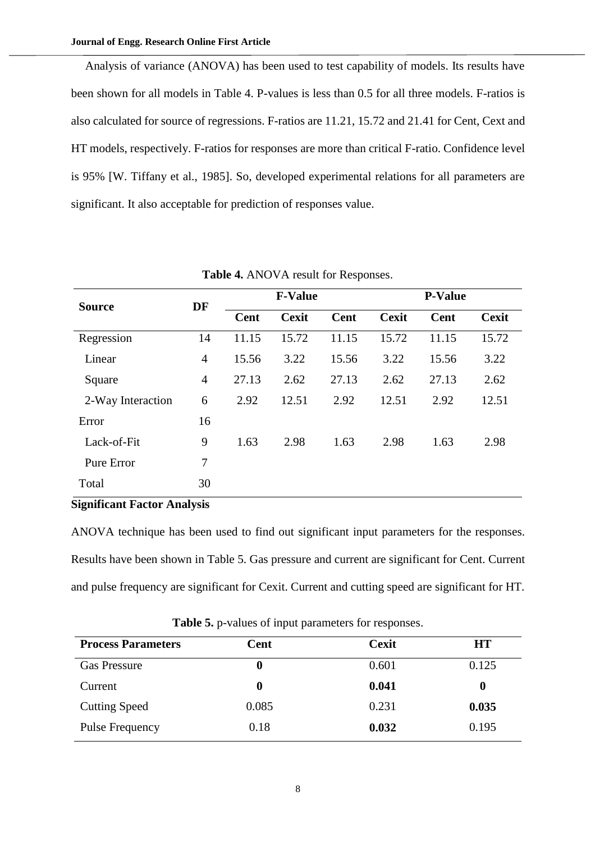Analysis of variance (ANOVA) has been used to test capability of models. Its results have been shown for all models in Table 4. P-values is less than 0.5 for all three models. F-ratios is also calculated for source of regressions. F-ratios are 11.21, 15.72 and 21.41 for Cent, Cext and HT models, respectively. F-ratios for responses are more than critical F-ratio. Confidence level is 95% [W. Tiffany et al., 1985]. So, developed experimental relations for all parameters are significant. It also acceptable for prediction of responses value.

| <b>Source</b>     | DF |             | <b>F-Value</b> |       | <b>P-Value</b> |       |              |  |
|-------------------|----|-------------|----------------|-------|----------------|-------|--------------|--|
|                   |    | <b>Cent</b> | <b>Cexit</b>   | Cent  | <b>Cexit</b>   | Cent  | <b>Cexit</b> |  |
| Regression        | 14 | 11.15       | 15.72          | 11.15 | 15.72          | 11.15 | 15.72        |  |
| Linear            | 4  | 15.56       | 3.22           | 15.56 | 3.22           | 15.56 | 3.22         |  |
| Square            | 4  | 27.13       | 2.62           | 27.13 | 2.62           | 27.13 | 2.62         |  |
| 2-Way Interaction | 6  | 2.92        | 12.51          | 2.92  | 12.51          | 2.92  | 12.51        |  |
| Error             | 16 |             |                |       |                |       |              |  |
| Lack-of-Fit       | 9  | 1.63        | 2.98           | 1.63  | 2.98           | 1.63  | 2.98         |  |
| Pure Error        | 7  |             |                |       |                |       |              |  |
| Total             | 30 |             |                |       |                |       |              |  |

**Table 4.** ANOVA result for Responses.

#### **Significant Factor Analysis**

ANOVA technique has been used to find out significant input parameters for the responses. Results have been shown in Table 5. Gas pressure and current are significant for Cent. Current and pulse frequency are significant for Cexit. Current and cutting speed are significant for HT.

| <b>Process Parameters</b> | Cent     | <b>Cexit</b> | HT       |
|---------------------------|----------|--------------|----------|
| <b>Gas Pressure</b>       | $\bf{0}$ | 0.601        | 0.125    |
| Current                   | -0       | 0.041        | $\bf{0}$ |
| <b>Cutting Speed</b>      | 0.085    | 0.231        | 0.035    |
| Pulse Frequency           | 0.18     | 0.032        | 0.195    |

**Table 5.** p-values of input parameters for responses.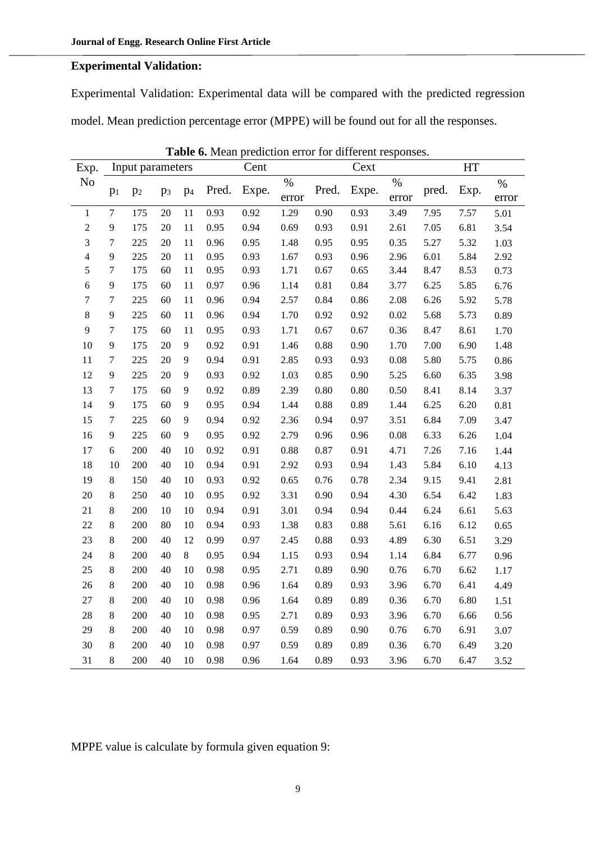## **Experimental Validation:**

Experimental Validation: Experimental data will be compared with the predicted regression model. Mean prediction percentage error (MPPE) will be found out for all the responses.

| Exp.             |                  | Input parameters |                |                |       | Cent<br>Cext |          | HT    |          |       |       |      |          |
|------------------|------------------|------------------|----------------|----------------|-------|--------------|----------|-------|----------|-------|-------|------|----------|
| No               | p <sub>1</sub>   | p <sub>2</sub>   | p <sub>3</sub> | p <sub>4</sub> | Pred. | Expe.        | $\%$     | Pred. | Expe.    | $\%$  | pred. | Exp. | $\%$     |
|                  |                  |                  |                |                |       |              | error    |       |          | error |       |      | error    |
| $\mathbf{1}$     | $\tau$           | 175              | 20             | 11             | 0.93  | 0.92         | 1.29     | 0.90  | 0.93     | 3.49  | 7.95  | 7.57 | 5.01     |
| $\sqrt{2}$       | 9                | 175              | 20             | 11             | 0.95  | 0.94         | 0.69     | 0.93  | 0.91     | 2.61  | 7.05  | 6.81 | 3.54     |
| $\mathfrak 3$    | $\overline{7}$   | 225              | 20             | 11             | 0.96  | 0.95         | 1.48     | 0.95  | 0.95     | 0.35  | 5.27  | 5.32 | 1.03     |
| $\overline{4}$   | 9                | 225              | 20             | 11             | 0.95  | 0.93         | 1.67     | 0.93  | 0.96     | 2.96  | 6.01  | 5.84 | 2.92     |
| 5                | $\boldsymbol{7}$ | 175              | 60             | $11\,$         | 0.95  | 0.93         | 1.71     | 0.67  | 0.65     | 3.44  | 8.47  | 8.53 | 0.73     |
| $\sqrt{6}$       | 9                | 175              | 60             | $11\,$         | 0.97  | 0.96         | 1.14     | 0.81  | 0.84     | 3.77  | 6.25  | 5.85 | 6.76     |
| $\boldsymbol{7}$ | $\boldsymbol{7}$ | 225              | 60             | $11\,$         | 0.96  | 0.94         | 2.57     | 0.84  | 0.86     | 2.08  | 6.26  | 5.92 | 5.78     |
| $\,8\,$          | 9                | 225              | 60             | $11\,$         | 0.96  | 0.94         | 1.70     | 0.92  | 0.92     | 0.02  | 5.68  | 5.73 | 0.89     |
| 9                | $\boldsymbol{7}$ | 175              | 60             | $11\,$         | 0.95  | 0.93         | 1.71     | 0.67  | 0.67     | 0.36  | 8.47  | 8.61 | 1.70     |
| 10               | 9                | 175              | 20             | 9              | 0.92  | 0.91         | 1.46     | 0.88  | 0.90     | 1.70  | 7.00  | 6.90 | 1.48     |
| $11\,$           | $\boldsymbol{7}$ | 225              | 20             | 9              | 0.94  | 0.91         | 2.85     | 0.93  | 0.93     | 0.08  | 5.80  | 5.75 | 0.86     |
| 12               | 9                | 225              | 20             | 9              | 0.93  | 0.92         | 1.03     | 0.85  | 0.90     | 5.25  | 6.60  | 6.35 | 3.98     |
| 13               | $\boldsymbol{7}$ | 175              | 60             | 9              | 0.92  | 0.89         | 2.39     | 0.80  | $0.80\,$ | 0.50  | 8.41  | 8.14 | 3.37     |
| 14               | 9                | 175              | 60             | 9              | 0.95  | 0.94         | 1.44     | 0.88  | 0.89     | 1.44  | 6.25  | 6.20 | $0.81\,$ |
| 15               | $\boldsymbol{7}$ | 225              | 60             | 9              | 0.94  | 0.92         | 2.36     | 0.94  | 0.97     | 3.51  | 6.84  | 7.09 | 3.47     |
| 16               | $\overline{9}$   | 225              | 60             | 9              | 0.95  | 0.92         | 2.79     | 0.96  | 0.96     | 0.08  | 6.33  | 6.26 | 1.04     |
| 17               | 6                | 200              | 40             | 10             | 0.92  | 0.91         | $0.88\,$ | 0.87  | 0.91     | 4.71  | 7.26  | 7.16 | 1.44     |
| 18               | 10               | 200              | 40             | 10             | 0.94  | 0.91         | 2.92     | 0.93  | 0.94     | 1.43  | 5.84  | 6.10 | 4.13     |
| 19               | 8                | 150              | 40             | 10             | 0.93  | 0.92         | 0.65     | 0.76  | 0.78     | 2.34  | 9.15  | 9.41 | 2.81     |
| 20               | $8\,$            | 250              | 40             | 10             | 0.95  | 0.92         | 3.31     | 0.90  | 0.94     | 4.30  | 6.54  | 6.42 | 1.83     |
| 21               | $\,8\,$          | 200              | 10             | 10             | 0.94  | 0.91         | 3.01     | 0.94  | 0.94     | 0.44  | 6.24  | 6.61 | 5.63     |
| 22               | $\,8\,$          | 200              | 80             | 10             | 0.94  | 0.93         | 1.38     | 0.83  | 0.88     | 5.61  | 6.16  | 6.12 | 0.65     |
| 23               | $8\,$            | 200              | 40             | 12             | 0.99  | 0.97         | 2.45     | 0.88  | 0.93     | 4.89  | 6.30  | 6.51 | 3.29     |
| 24               | $8\,$            | 200              | 40             | 8              | 0.95  | 0.94         | 1.15     | 0.93  | 0.94     | 1.14  | 6.84  | 6.77 | 0.96     |
| 25               | $\,8\,$          | 200              | 40             | 10             | 0.98  | 0.95         | 2.71     | 0.89  | 0.90     | 0.76  | 6.70  | 6.62 | 1.17     |
| 26               | $\,8\,$          | 200              | 40             | 10             | 0.98  | 0.96         | 1.64     | 0.89  | 0.93     | 3.96  | 6.70  | 6.41 | 4.49     |
| 27               | $\,8\,$          | 200              | 40             | 10             | 0.98  | 0.96         | 1.64     | 0.89  | 0.89     | 0.36  | 6.70  | 6.80 | 1.51     |
| $28\,$           | $8\,$            | 200              | 40             | 10             | 0.98  | 0.95         | 2.71     | 0.89  | 0.93     | 3.96  | 6.70  | 6.66 | 0.56     |
| 29               | $8\,$            | 200              | 40             | 10             | 0.98  | 0.97         | 0.59     | 0.89  | 0.90     | 0.76  | 6.70  | 6.91 | 3.07     |
| 30               | $\,8\,$          | 200              | 40             | 10             | 0.98  | 0.97         | 0.59     | 0.89  | 0.89     | 0.36  | 6.70  | 6.49 | 3.20     |
| 31               | 8                | 200              | 40             | 10             | 0.98  | 0.96         | 1.64     | 0.89  | 0.93     | 3.96  | 6.70  | 6.47 | 3.52     |

**Table 6.** Mean prediction error for different responses.

MPPE value is calculate by formula given equation 9: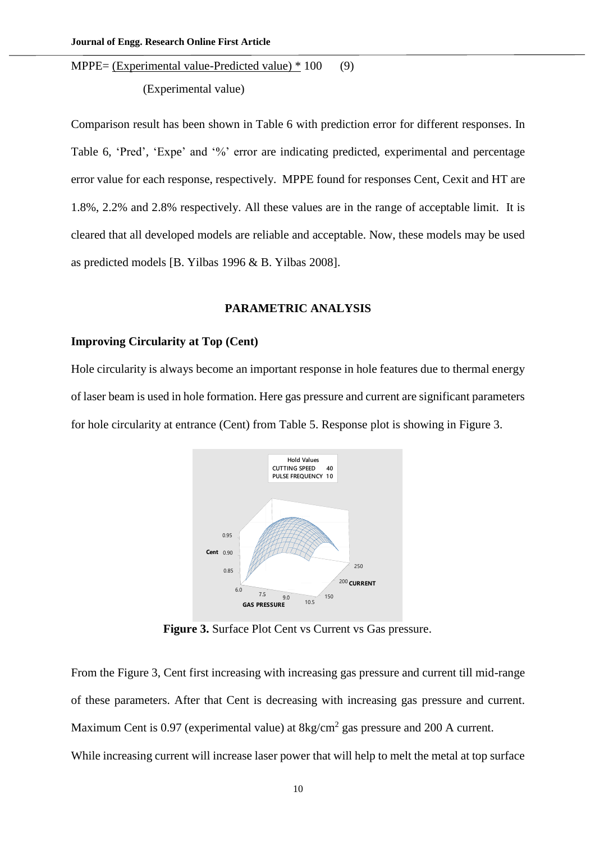MPPE= (Experimental value-Predicted value) \* 100 (9)

(Experimental value)

Comparison result has been shown in Table 6 with prediction error for different responses. In Table 6, 'Pred', 'Expe' and '%' error are indicating predicted, experimental and percentage error value for each response, respectively. MPPE found for responses Cent, Cexit and HT are 1.8%, 2.2% and 2.8% respectively. All these values are in the range of acceptable limit. It is cleared that all developed models are reliable and acceptable. Now, these models may be used as predicted models [B. Yilbas 1996 & B. Yilbas 2008].

#### **PARAMETRIC ANALYSIS**

#### **Improving Circularity at Top (Cent)**

Hole circularity is always become an important response in hole features due to thermal energy of laser beam is used in hole formation. Here gas pressure and current are significant parameters for hole circularity at entrance (Cent) from Table 5. Response plot is showing in Figure 3.



**Figure 3.** Surface Plot Cent vs Current vs Gas pressure.

From the Figure 3, Cent first increasing with increasing gas pressure and current till mid-range of these parameters. After that Cent is decreasing with increasing gas pressure and current. Maximum Cent is 0.97 (experimental value) at  $8\text{kg/cm}^2$  gas pressure and 200 A current.

While increasing current will increase laser power that will help to melt the metal at top surface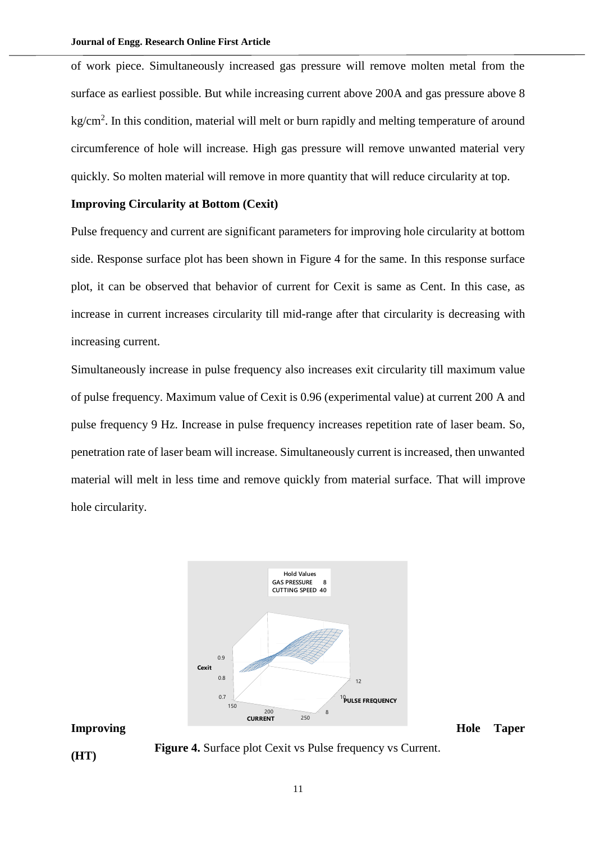of work piece. Simultaneously increased gas pressure will remove molten metal from the surface as earliest possible. But while increasing current above 200A and gas pressure above 8 kg/cm<sup>2</sup>. In this condition, material will melt or burn rapidly and melting temperature of around circumference of hole will increase. High gas pressure will remove unwanted material very quickly. So molten material will remove in more quantity that will reduce circularity at top.

### **Improving Circularity at Bottom (Cexit)**

Pulse frequency and current are significant parameters for improving hole circularity at bottom side. Response surface plot has been shown in Figure 4 for the same. In this response surface plot, it can be observed that behavior of current for Cexit is same as Cent. In this case, as increase in current increases circularity till mid-range after that circularity is decreasing with increasing current.

Simultaneously increase in pulse frequency also increases exit circularity till maximum value of pulse frequency. Maximum value of Cexit is 0.96 (experimental value) at current 200 A and pulse frequency 9 Hz. Increase in pulse frequency increases repetition rate of laser beam. So, penetration rate of laser beam will increase. Simultaneously current is increased, then unwanted material will melt in less time and remove quickly from material surface. That will improve hole circularity.



**(HT) Figure 4.** Surface plot Cexit vs Pulse frequency vs Current.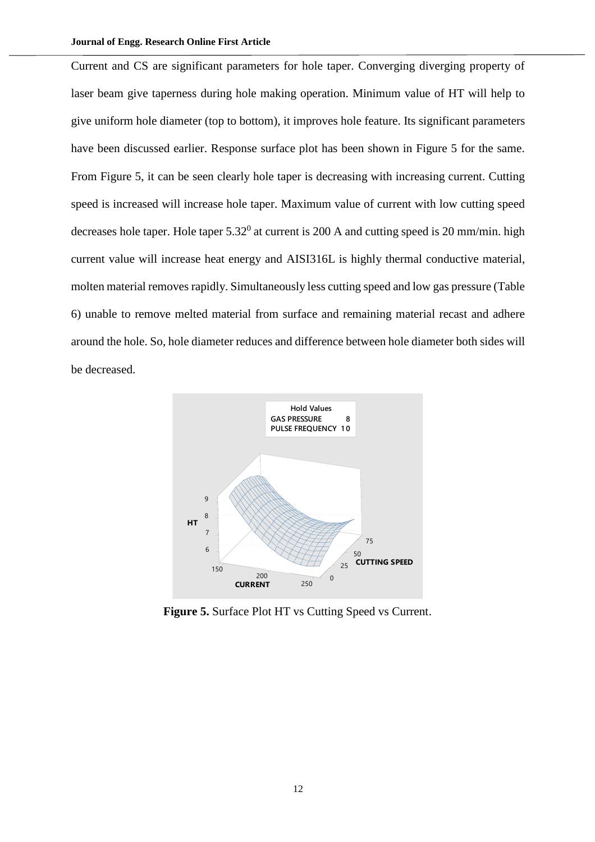Current and CS are significant parameters for hole taper. Converging diverging property of laser beam give taperness during hole making operation. Minimum value of HT will help to give uniform hole diameter (top to bottom), it improves hole feature. Its significant parameters have been discussed earlier. Response surface plot has been shown in Figure 5 for the same. From Figure 5, it can be seen clearly hole taper is decreasing with increasing current. Cutting speed is increased will increase hole taper. Maximum value of current with low cutting speed decreases hole taper. Hole taper  $5.32^0$  at current is 200 A and cutting speed is 20 mm/min. high current value will increase heat energy and AISI316L is highly thermal conductive material, molten material removes rapidly. Simultaneously less cutting speed and low gas pressure (Table 6) unable to remove melted material from surface and remaining material recast and adhere around the hole. So, hole diameter reduces and difference between hole diameter both sides will be decreased.



Figure 5. Surface Plot HT vs Cutting Speed vs Current.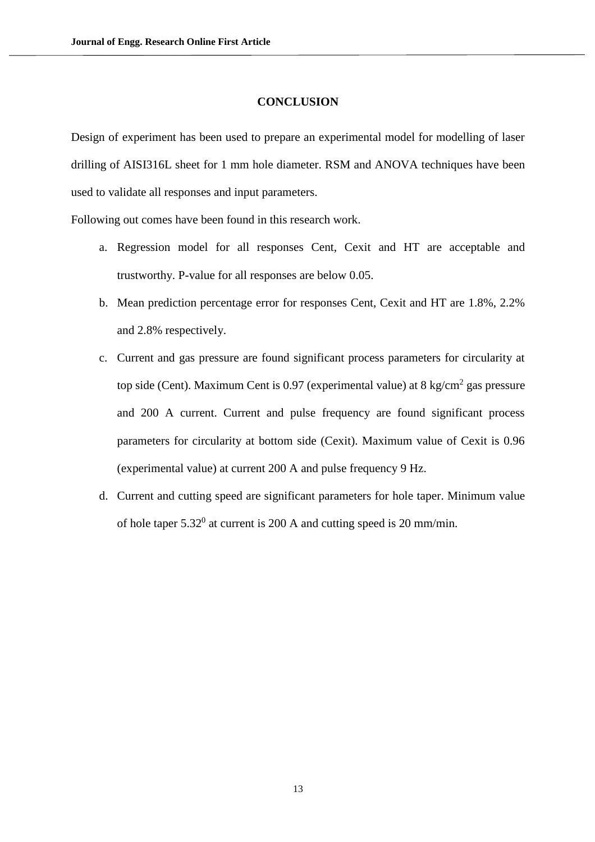#### **CONCLUSION**

Design of experiment has been used to prepare an experimental model for modelling of laser drilling of AISI316L sheet for 1 mm hole diameter. RSM and ANOVA techniques have been used to validate all responses and input parameters.

Following out comes have been found in this research work.

- a. Regression model for all responses Cent, Cexit and HT are acceptable and trustworthy. P-value for all responses are below 0.05.
- b. Mean prediction percentage error for responses Cent, Cexit and HT are 1.8%, 2.2% and 2.8% respectively.
- c. Current and gas pressure are found significant process parameters for circularity at top side (Cent). Maximum Cent is 0.97 (experimental value) at 8 kg/cm<sup>2</sup> gas pressure and 200 A current. Current and pulse frequency are found significant process parameters for circularity at bottom side (Cexit). Maximum value of Cexit is 0.96 (experimental value) at current 200 A and pulse frequency 9 Hz.
- d. Current and cutting speed are significant parameters for hole taper. Minimum value of hole taper  $5.32^0$  at current is 200 A and cutting speed is 20 mm/min.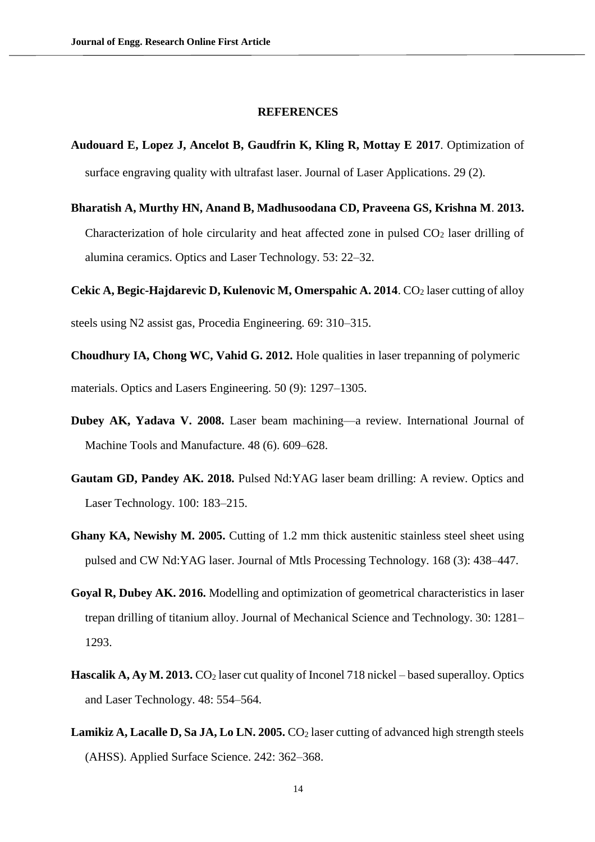#### **REFERENCES**

- **Audouard E, Lopez J, Ancelot B, Gaudfrin K, Kling R, Mottay E 2017**. Optimization of surface engraving quality with ultrafast laser. Journal of Laser Applications. 29 (2).
- **Bharatish A, Murthy HN, Anand B, Madhusoodana CD, Praveena GS, Krishna M**. **2013.** Characterization of hole circularity and heat affected zone in pulsed  $CO<sub>2</sub>$  laser drilling of alumina ceramics. Optics and Laser Technology. 53: 22–32.

**Cekic A, Begic-Hajdarevic D, Kulenovic M, Omerspahic A. 2014**. CO<sub>2</sub> laser cutting of alloy steels using N2 assist gas, Procedia Engineering. 69: 310–315.

**Choudhury IA, Chong WC, Vahid G. 2012.** Hole qualities in laser trepanning of polymeric materials. Optics and Lasers Engineering. 50 (9): 1297–1305.

- **Dubey AK, Yadava V. 2008.** Laser beam machining—a review. [International Journal of](https://www.journals.elsevier.com/international-journal-of-machine-tools-and-manufacture)  [Machine Tools and Manufacture. 48 \(6\). 609–628.](https://www.journals.elsevier.com/international-journal-of-machine-tools-and-manufacture)
- **Gautam GD, Pandey AK. 2018.** Pulsed Nd:YAG laser beam drilling: A review. Optics and Laser Technology. 100: 183–215.
- **Ghany KA, Newishy M. 2005.** Cutting of 1.2 mm thick austenitic stainless steel sheet using pulsed and CW Nd:YAG laser. Journal of Mtls Processing Technology. 168 (3): 438–447.
- **Goyal R, Dubey AK. 2016.** Modelling and optimization of geometrical characteristics in laser trepan drilling of titanium alloy. Journal of Mechanical Science and Technology. 30: 1281– 1293.
- **Hascalik A, Ay M. 2013.** CO<sub>2</sub> laser cut quality of Inconel 718 nickel based superalloy. Optics and Laser Technology. 48: 554–564.
- **Lamikiz A, Lacalle D, Sa JA, Lo LN. 2005.** CO<sub>2</sub> laser cutting of advanced high strength steels (AHSS). Applied Surface Science. 242: 362–368.